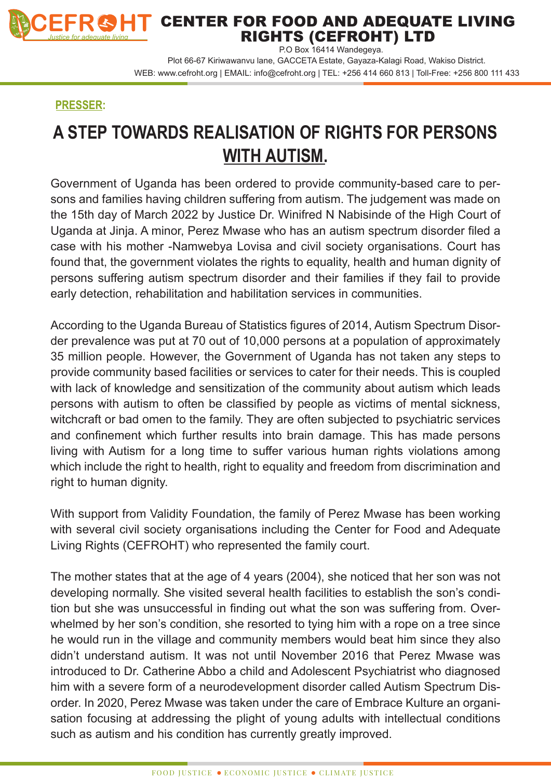

## CENTER FOR FOOD AND ADEQUATE LIVING RIGHTS (CEFROHT) LTD

P.O Box 16414 Wandegeya. Plot 66-67 Kiriwawanvu lane, GACCETA Estate, Gayaza-Kalagi Road, Wakiso District. WEB: www.cefroht.org | EMAIL: info@cefroht.org | TEL: +256 414 660 813 | Toll-Free: +256 800 111 433

## **PRESSER:**

## **A STEP TOWARDS REALISATION OF RIGHTS FOR PERSONS WITH AUTISM.**

Government of Uganda has been ordered to provide community-based care to persons and families having children suffering from autism. The judgement was made on the 15th day of March 2022 by Justice Dr. Winifred N Nabisinde of the High Court of Uganda at Jinja. A minor, Perez Mwase who has an autism spectrum disorder filed a case with his mother -Namwebya Lovisa and civil society organisations. Court has found that, the government violates the rights to equality, health and human dignity of persons suffering autism spectrum disorder and their families if they fail to provide early detection, rehabilitation and habilitation services in communities.

According to the Uganda Bureau of Statistics figures of 2014, Autism Spectrum Disorder prevalence was put at 70 out of 10,000 persons at a population of approximately 35 million people. However, the Government of Uganda has not taken any steps to provide community based facilities or services to cater for their needs. This is coupled with lack of knowledge and sensitization of the community about autism which leads persons with autism to often be classified by people as victims of mental sickness, witchcraft or bad omen to the family. They are often subjected to psychiatric services and confinement which further results into brain damage. This has made persons living with Autism for a long time to suffer various human rights violations among which include the right to health, right to equality and freedom from discrimination and right to human dignity.

With support from Validity Foundation, the family of Perez Mwase has been working with several civil society organisations including the Center for Food and Adequate Living Rights (CEFROHT) who represented the family court.

The mother states that at the age of 4 years (2004), she noticed that her son was not developing normally. She visited several health facilities to establish the son's condition but she was unsuccessful in finding out what the son was suffering from. Overwhelmed by her son's condition, she resorted to tying him with a rope on a tree since he would run in the village and community members would beat him since they also didn't understand autism. It was not until November 2016 that Perez Mwase was introduced to Dr. Catherine Abbo a child and Adolescent Psychiatrist who diagnosed him with a severe form of a neurodevelopment disorder called Autism Spectrum Disorder. In 2020, Perez Mwase was taken under the care of Embrace Kulture an organisation focusing at addressing the plight of young adults with intellectual conditions such as autism and his condition has currently greatly improved.